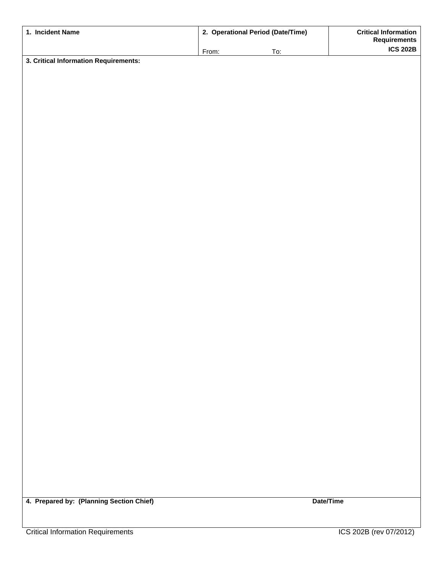| 1. Incident Name                         | 2. Operational Period (Date/Time) |            | <b>Critical Information</b><br><b>Requirements</b> |
|------------------------------------------|-----------------------------------|------------|----------------------------------------------------|
|                                          | From:                             | <u>To:</u> | <b>ICS 202B</b>                                    |
| 3. Critical Information Requirements:    |                                   |            |                                                    |
|                                          |                                   |            |                                                    |
|                                          |                                   |            |                                                    |
|                                          |                                   |            |                                                    |
|                                          |                                   |            |                                                    |
|                                          |                                   |            |                                                    |
|                                          |                                   |            |                                                    |
|                                          |                                   |            |                                                    |
|                                          |                                   |            |                                                    |
|                                          |                                   |            |                                                    |
|                                          |                                   |            |                                                    |
|                                          |                                   |            |                                                    |
|                                          |                                   |            |                                                    |
|                                          |                                   |            |                                                    |
|                                          |                                   |            |                                                    |
|                                          |                                   |            |                                                    |
|                                          |                                   |            |                                                    |
|                                          |                                   |            |                                                    |
|                                          |                                   |            |                                                    |
|                                          |                                   |            |                                                    |
|                                          |                                   |            |                                                    |
|                                          |                                   |            |                                                    |
|                                          |                                   |            |                                                    |
|                                          |                                   |            |                                                    |
|                                          |                                   |            |                                                    |
|                                          |                                   |            |                                                    |
|                                          |                                   |            |                                                    |
|                                          |                                   |            |                                                    |
|                                          |                                   |            |                                                    |
|                                          |                                   |            |                                                    |
|                                          |                                   |            |                                                    |
|                                          |                                   |            |                                                    |
|                                          |                                   |            |                                                    |
|                                          |                                   |            |                                                    |
|                                          |                                   |            |                                                    |
|                                          |                                   |            |                                                    |
|                                          |                                   |            |                                                    |
|                                          |                                   |            |                                                    |
| 4. Prepared by: (Planning Section Chief) |                                   |            | Date/Time                                          |
|                                          |                                   |            |                                                    |
|                                          |                                   |            |                                                    |
| <b>Critical Information Requirements</b> |                                   |            | ICS 202B (rev 07/2012)                             |